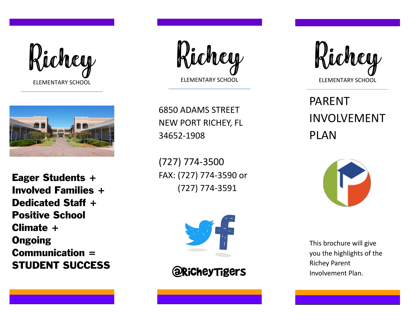



Eager Students + Involved Families + Dedicated Staff + Positive School Climate + **Ongoing** Communication = STUDENT SUCCESS

Richey ELEMENTARY SCHOOL

6850 ADAMS STREET NEW PORT RICHEY, FL 34652 -1908

(727) 774 -3500 FAX: (727) 774 -3590 or (727) 774 -3591



@RicheyTigers



PARENT INVOLVEMENT PLAN



This brochure will give you the highlights of the Richey Parent Involvement Plan.